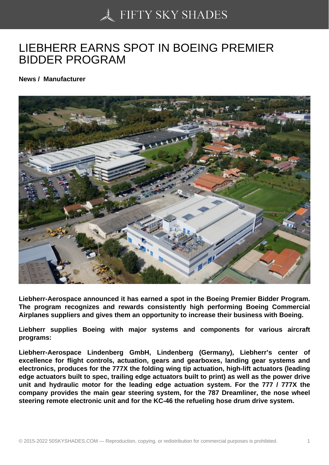## [LIEBHERR EARNS SP](https://50skyshades.com)OT IN BOEING PREMIER BIDDER PROGRAM

News / Manufacturer

Liebherr-Aerospace announced it has earned a spot in the Boeing Premier Bidder Program. The program recognizes and rewards consistently high performing Boeing Commercial Airplanes suppliers and gives them an opportunity to increase their business with Boeing.

Liebherr supplies Boeing with major systems and components for various aircraft programs:

Liebherr-Aerospace Lindenberg GmbH, Lindenberg (Germany), Liebherr's center of excellence for flight controls, actuation, gears and gearboxes, landing gear systems and electronics, produces for the 777X the folding wing tip actuation, high-lift actuators (leading edge actuators built to spec, trailing edge actuators built to print) as well as the power drive unit and hydraulic motor for the leading edge actuation system. For the 777 / 777X the company provides the main gear steering system, for the 787 Dreamliner, the nose wheel steering remote electronic unit and for the KC-46 the refueling hose drum drive system.